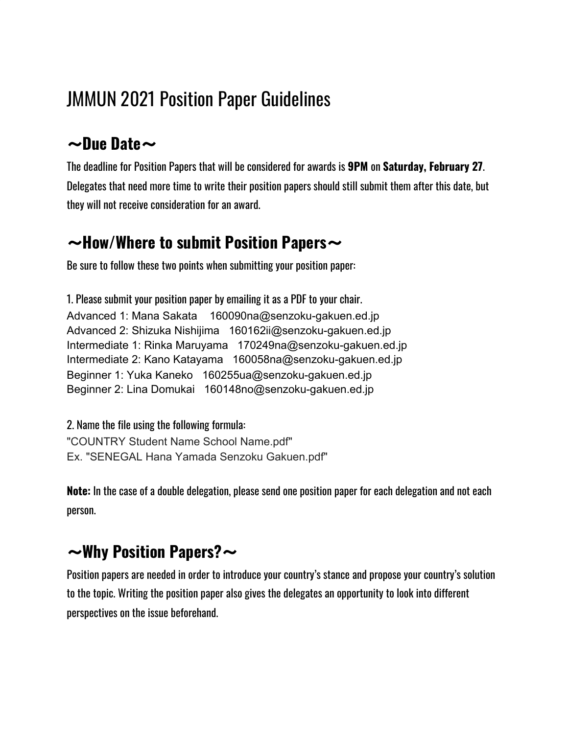# JMMUN 2021 Position Paper Guidelines

### 〜**Due Date**〜

The deadline for Position Papers that will be considered for awards is **9PM** on **Saturday, February 27**. Delegates that need more time to write their position papers should still submit them after this date, but they will not receive consideration for an award.

### 〜**How/Where to submit Position Papers**〜

Be sure to follow these two points when submitting your position paper:

1. Please submit your position paper by emailing it as a PDF to your chair. Advanced 1: Mana Sakata 160090na@senzoku-gakuen.ed.jp Advanced 2: Shizuka Nishijima 160162ii@senzoku-gakuen.ed.jp Intermediate 1: Rinka Maruyama 170249na@senzoku-gakuen.ed.jp Intermediate 2: Kano Katayama 160058na@senzoku-gakuen.ed.jp Beginner 1: Yuka Kaneko 160255ua@senzoku-gakuen.ed.jp Beginner 2: Lina Domukai 160148no@senzoku-gakuen.ed.jp

2. Name the file using the following formula: "COUNTRY Student Name School Name.pdf" Ex. "SENEGAL Hana Yamada Senzoku Gakuen.pdf"

**Note:** In the case of a double delegation, please send one position paper for each delegation and not each person.

## 〜**Why Position Papers?**〜

Position papers are needed in order to introduce your country's stance and propose your country's solution to the topic. Writing the position paper also gives the delegates an opportunity to look into different perspectives on the issue beforehand.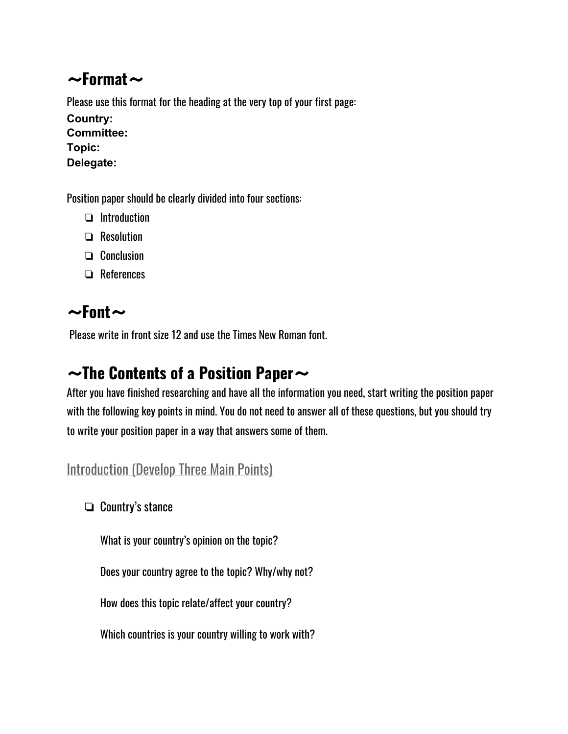### 〜**Format**〜

Please use this format for the heading at the very top of your first page: **Country: Committee: Topic: Delegate:**

Position paper should be clearly divided into four sections:

- ❏ Introduction
- ❏ Resolution
- ❏ Conclusion
- ❏ References

## 〜**Font**〜

Please write in front size 12 and use the Times New Roman font.

### 〜**The Contents of a Position Paper**〜

After you have finished researching and have all the information you need, start writing the position paper with the following key points in mind. You do not need to answer all of these questions, but you should try to write your position paper in a way that answers some of them.

#### **Introduction (Develop Three Main Points)**

❏ Country's stance

What is your country's opinion on the topic?

Does your country agree to the topic? Why/why not?

How does this topic relate/affect your country?

Which countries is your country willing to work with?